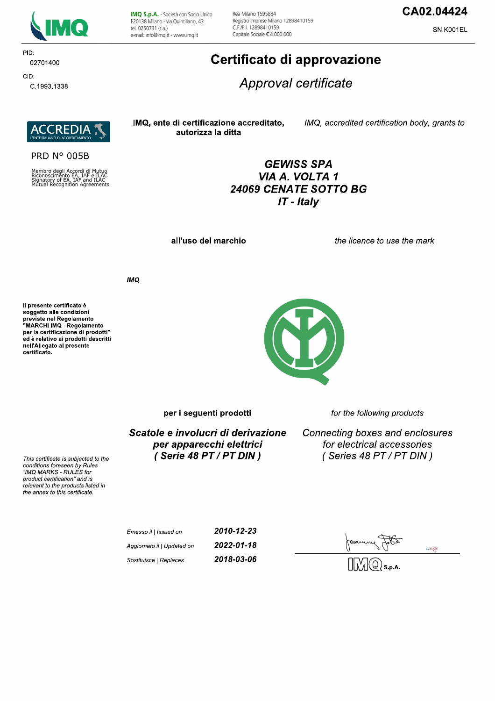

IMQ S.p.A. - Società con Socio Unico I 20138 Milano - via Quintiliano, 43 tel. 0250731 (r.a.) e-mail: info@imq.it - www.imq.it

Rea Milano 1595884 Registro Imprese Milano 12898410159 C.F./P.I. 12898410159 Capitale Sociale €4.000.000

## CA02.04424

SN.K001EL

# CID: C.1993.1338

02701400

PID:

## Certificato di approvazione

Approval certificate

**REDIA** T

**PRD N° 005B** 

Membro degli Accordi di Mutuo<br>Riconoscimento EA, IAF e ILAC<br>Signatory of EA, IAF and ILAC<br>Mutual Recognition Agreements

IMQ, ente di certificazione accreditato, autorizza la ditta

IMQ, accredited certification body, grants to

## **GEWISS SPA** VIA A. VOLTA 1 24069 CENATE SOTTO BG IT - Italy

all'uso del marchio

the licence to use the mark

**IMO** 

Il presente certificato è soggetto alle condizioni Soggetto and containmento<br>previste nel Regolamento<br>"MARCHI IMQ - Regolamento per la certificazione di prodotti" ed è relativo ai prodotti descritti nell'Allegato al presente certificato.



per i seguenti prodotti

for the following products

Scatole e involucri di derivazione per apparecchi elettrici (Serie 48 PT / PT DIN)

Connecting boxes and enclosures for electrical accessories (Series 48 PT / PT DIN)

This certificate is subjected to the conditions foreseen by Rules "IMQ MARKS - RULES for product certification" and is relevant to the products listed in the annex to this certificate.

| Emesso il   Issued on      | 2010-12-23 |
|----------------------------|------------|
| Aggiornato il   Updated on | 2022-01-18 |
| Sostituisce   Replaces     | 2018-03-06 |

cosign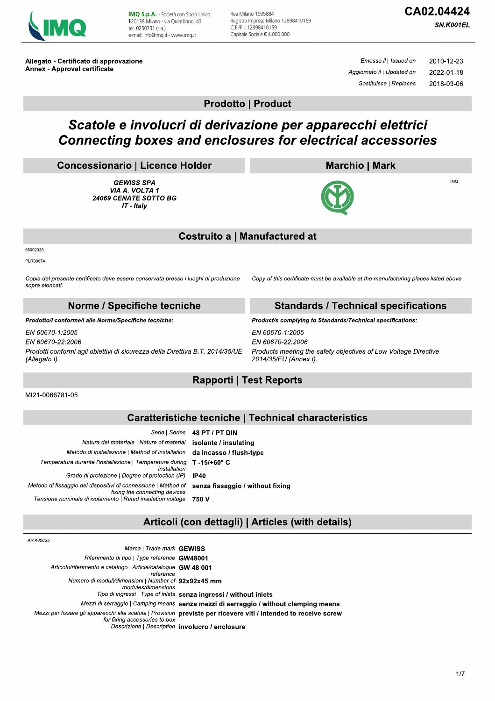

IMQ S.p.A. - Società con Socio Unico I 20138 Milano - via Quintiliano, 43 tel. 0250731 (r.a.) e-mail: info@img.it - www.img.it

Rea Milano 1595884 Registro Imprese Milano 12898410159 C.F./P.I. 12898410159 Capitale Sociale €4.000.000

SN.K001EL

Allegato - Certificato di approvazione **Annex - Approval certificate** 

Emesso il | Issued on 2010-12-23 Aggiornato il | Updated on 2022-01-18 Sostituisce | Replaces 2018-03-06

**Prodotto | Product** 

## Scatole e involucri di derivazione per apparecchi elettrici **Connecting boxes and enclosures for electrical accessories**

#### **Concessionario | Licence Holder**

**GEWISS SPA** VIA A. VOLTA 1 24069 CENATE SOTTO BG IT - Italy

## **Marchio | Mark**



 $IMO$ 

#### **Costruito a | Manufactured at**

95002326

PI.R0007A

Copia del presente certificato deve essere conservata presso i luoghi di produzione sopra elencati.

Copy of this certificate must be available at the manufacturing places listed above

| Norme / Specifiche tecniche                                                                                                           | <b>Standards / Technical specifications</b>                                                                                     |
|---------------------------------------------------------------------------------------------------------------------------------------|---------------------------------------------------------------------------------------------------------------------------------|
| Prodotto/i conforme/i alle Norme/Specifiche tecniche:                                                                                 | Product/s complying to Standards/Technical specifications:                                                                      |
| EN 60670-1:2005<br>EN 60670-22:2006<br>Prodotti conformi agli obiettivi di sicurezza della Direttiva B.T. 2014/35/UE<br>'Allegato I). | EN 60670-1:2005<br>EN 60670-22:2006<br>Products meeting the safety objectives of Low Voltage Directive<br>2014/35/EU (Annex I). |

## **Rapporti | Test Reports**

MI21-0066781-05

### **Caratteristiche tecniche | Technical characteristics**

|                                                                                                 | Serie   Series 48 PT / PT DIN    |
|-------------------------------------------------------------------------------------------------|----------------------------------|
| Natura del materiale   Nature of material                                                       | isolante / insulating            |
| Metodo di installazione   Method of installation                                                | da incasso / flush-type          |
| Temperatura durante l'installazione   Temperature during<br>installation                        | T -15/+60° C                     |
| Grado di protezione   Degree of protection (IP)                                                 | IP40                             |
| Metodo di fissaggio dei dispositivi di connessione   Method of<br>fixing the connecting devices | senza fissaggio / without fixing |
| Tensione nominale di isolamento   Rated insulation voltage                                      | 750 V                            |

### Articoli (con dettagli) | Articles (with details)

| AR.K00C26                                                                  |                                                                                                                  |
|----------------------------------------------------------------------------|------------------------------------------------------------------------------------------------------------------|
| Marca   Trade mark GEWISS                                                  |                                                                                                                  |
| Riferimento di tipo   Type reference GW48001                               |                                                                                                                  |
| Articolo/riferimento a catalogo   Article/catalogue GW 48 001<br>reference |                                                                                                                  |
| Numero di moduli/dimensioni   Number of 92x92x45 mm<br>modules/dimensions  |                                                                                                                  |
|                                                                            | Tipo di ingressi   Type of inlets senza ingressi / without inlets                                                |
|                                                                            | Mezzi di serraggio   Camping means senza mezzi di serraggio / without clamping means                             |
| for fixing accessories to box                                              | Mezzi per fissare gli apparecchi alla scatola   Provision previste per ricevere viti / intended to receive screw |
|                                                                            | Descrizione   Description involucro / enclosure                                                                  |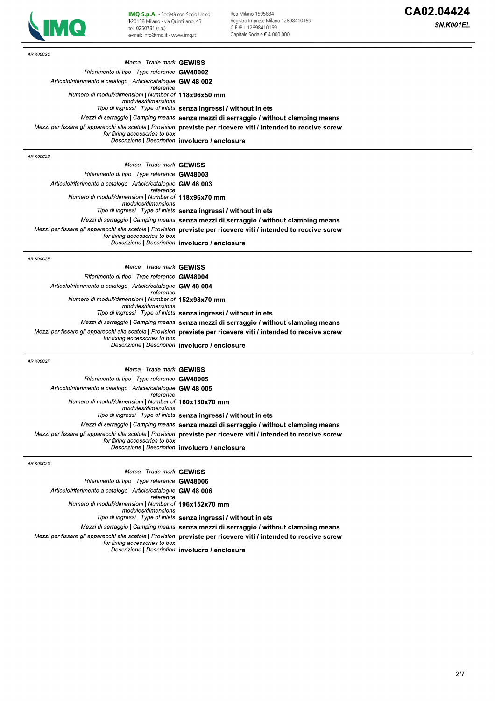

| AR.K00C2C                                                                   |                                                                                                                  |
|-----------------------------------------------------------------------------|------------------------------------------------------------------------------------------------------------------|
| Marca   Trade mark GEWISS                                                   |                                                                                                                  |
| Riferimento di tipo   Type reference GW48002                                |                                                                                                                  |
| Articolo/riferimento a catalogo   Article/catalogue GW 48 002               |                                                                                                                  |
| reference                                                                   |                                                                                                                  |
| Numero di moduli/dimensioni   Number of 118x96x50 mm<br>modules/dimensions  |                                                                                                                  |
|                                                                             | Tipo di ingressi   Type of inlets senza ingressi / without inlets                                                |
|                                                                             | Mezzi di serraggio   Camping means senza mezzi di serraggio / without clamping means                             |
|                                                                             | Mezzi per fissare gli apparecchi alla scatola   Provision previste per ricevere viti / intended to receive screw |
| for fixing accessories to box                                               | Descrizione   Description involucro / enclosure                                                                  |
|                                                                             |                                                                                                                  |
| AR.K00C2D                                                                   |                                                                                                                  |
| Marca   Trade mark GEWISS                                                   |                                                                                                                  |
| Riferimento di tipo   Type reference GW48003                                |                                                                                                                  |
| Articolo/riferimento a catalogo   Article/catalogue GW 48 003<br>reference  |                                                                                                                  |
| Numero di moduli/dimensioni   Number of 118x96x70 mm<br>modules/dimensions  |                                                                                                                  |
|                                                                             | Tipo di ingressi   Type of inlets senza ingressi / without inlets                                                |
|                                                                             | Mezzi di serraggio   Camping means senza mezzi di serraggio / without clamping means                             |
|                                                                             | Mezzi per fissare gli apparecchi alla scatola   Provision previste per ricevere viti / intended to receive screw |
| for fixing accessories to box                                               | Descrizione   Description involucro / enclosure                                                                  |
| AR.K00C2E                                                                   |                                                                                                                  |
| Marca   Trade mark GEWISS                                                   |                                                                                                                  |
| Riferimento di tipo   Type reference GW48004                                |                                                                                                                  |
|                                                                             |                                                                                                                  |
| Articolo/riferimento a catalogo   Article/catalogue GW 48 004<br>reference  |                                                                                                                  |
| Numero di moduli/dimensioni   Number of 152x98x70 mm<br>modules/dimensions  |                                                                                                                  |
|                                                                             | Tipo di ingressi   Type of inlets senza ingressi / without inlets                                                |
|                                                                             | Mezzi di serraggio   Camping means senza mezzi di serraggio / without clamping means                             |
| for fixing accessories to box                                               | Mezzi per fissare gli apparecchi alla scatola   Provision previste per ricevere viti / intended to receive screw |
|                                                                             | Descrizione   Description involucro / enclosure                                                                  |
| AR.K00C2F                                                                   |                                                                                                                  |
| Marca   Trade mark GEWISS                                                   |                                                                                                                  |
|                                                                             |                                                                                                                  |
| Riferimento di tipo   Type reference GW48005                                |                                                                                                                  |
| Articolo/riferimento a catalogo   Article/catalogue GW 48 005<br>reference  |                                                                                                                  |
| Numero di moduli/dimensioni   Number of 160x130x70 mm<br>modules/dimensions |                                                                                                                  |
|                                                                             | Tipo di ingressi   Type of inlets senza ingressi / without inlets                                                |
|                                                                             | Mezzi di serraggio   Camping means senza mezzi di serraggio / without clamping means                             |
| for fixing accessories to box                                               | Mezzi per fissare gli apparecchi alla scatola   Provision previste per ricevere viti / intended to receive screw |
|                                                                             | Descrizione   Description involucro / enclosure                                                                  |
| AR.K00C2G                                                                   |                                                                                                                  |
| Marca   Trade mark GEWISS                                                   |                                                                                                                  |
| Riferimento di tipo   Type reference GW48006                                |                                                                                                                  |
| Articolo/riferimento a catalogo   Article/catalogue GW 48 006<br>reference  |                                                                                                                  |
| Numero di moduli/dimensioni   Number of 196x152x70 mm<br>modules/dimensions |                                                                                                                  |
|                                                                             | Tipo di ingressi   Type of inlets senza ingressi / without inlets                                                |
|                                                                             | Mezzi di serraggio   Camping means senza mezzi di serraggio / without clamping means                             |
|                                                                             |                                                                                                                  |
|                                                                             | Mezzi per fissare gli apparecchi alla scatola   Provision previste per ricevere viti / intended to receive screw |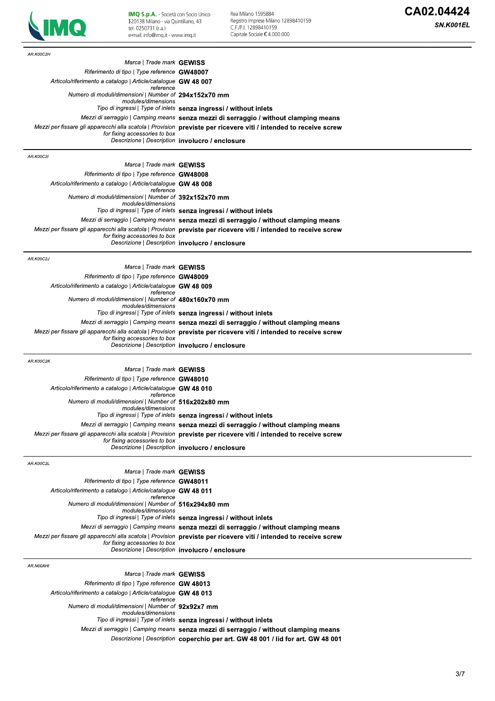

**IMQ S.p.A.** - Società con Socio Unico<br>I20138 Milano - via Quintiliano, 43<br>tel. 0250731 (r.a.)<br>e-mail: info@imq.it - www.imq.it

Rea Milano 1595884<br>Registro Imprese Milano 12898410159<br>C.F.∕P.I. 12898410159<br>Capitale Sociale € 4.000.000

| AR.K00C2H                                                                   |                                                                                                                                                                                                          |
|-----------------------------------------------------------------------------|----------------------------------------------------------------------------------------------------------------------------------------------------------------------------------------------------------|
| Marca   Trade mark GEWISS                                                   |                                                                                                                                                                                                          |
| Riferimento di tipo   Type reference GW48007                                |                                                                                                                                                                                                          |
| Articolo/riferimento a catalogo   Article/catalogue GW 48 007               |                                                                                                                                                                                                          |
| reference<br>Numero di moduli/dimensioni   Number of 294x152x70 mm          |                                                                                                                                                                                                          |
| modules/dimensions                                                          | Tipo di ingressi   Type of inlets senza ingressi / without inlets                                                                                                                                        |
|                                                                             | Mezzi di serraggio   Camping means <b>senza mezzi di serraggio / without clamping means</b>                                                                                                              |
|                                                                             | Mezzi per fissare gli apparecchi alla scatola   Provision previste per ricevere viti / intended to receive screw                                                                                         |
| for fixing accessories to box                                               | Descrizione   Description involucro / enclosure                                                                                                                                                          |
|                                                                             |                                                                                                                                                                                                          |
| <b>AR.K00C2I</b>                                                            |                                                                                                                                                                                                          |
| Marca   Trade mark GEWISS                                                   |                                                                                                                                                                                                          |
| Riferimento di tipo   Type reference GW48008                                |                                                                                                                                                                                                          |
| Articolo/riferimento a catalogo   Article/catalogue GW 48 008<br>reference  |                                                                                                                                                                                                          |
| Numero di moduli/dimensioni   Number of 392x152x70 mm                       |                                                                                                                                                                                                          |
| modules/dimensions                                                          |                                                                                                                                                                                                          |
|                                                                             | Tipo di ingressi   Type of inlets senza ingressi / without inlets                                                                                                                                        |
|                                                                             | Mezzi di serraggio   Camping means senza mezzi di serraggio / without clamping means<br>Mezzi per fissare gli apparecchi alla scatola   Provision previste per ricevere viti / intended to receive screw |
| for fixing accessories to box                                               |                                                                                                                                                                                                          |
|                                                                             | Descrizione   Description involucro / enclosure                                                                                                                                                          |
| AR.K00C2J                                                                   |                                                                                                                                                                                                          |
| Marca   Trade mark GEWISS                                                   |                                                                                                                                                                                                          |
| Riferimento di tipo   Type reference GW48009                                |                                                                                                                                                                                                          |
| Articolo/riferimento a catalogo   Article/catalogue GW 48 009               |                                                                                                                                                                                                          |
| reference<br>Numero di moduli/dimensioni   Number of 480x160x70 mm          |                                                                                                                                                                                                          |
| modules/dimensions                                                          |                                                                                                                                                                                                          |
|                                                                             | Tipo di ingressi   Type of inlets senza ingressi / without inlets                                                                                                                                        |
|                                                                             | Mezzi di serraggio   Camping means senza mezzi di serraggio / without clamping means                                                                                                                     |
| for fixing accessories to box                                               | Mezzi per fissare gli apparecchi alla scatola   Provision previste per ricevere viti / intended to receive screw                                                                                         |
|                                                                             | Descrizione   Description involucro / enclosure                                                                                                                                                          |
|                                                                             |                                                                                                                                                                                                          |
| AR.K00C2K<br>Marca   Trade mark GEWISS                                      |                                                                                                                                                                                                          |
| Riferimento di tipo   Type reference GW48010                                |                                                                                                                                                                                                          |
| Articolo/riferimento a catalogo   Article/catalogue GW 48 010               |                                                                                                                                                                                                          |
| reference                                                                   |                                                                                                                                                                                                          |
| Numero di moduli/dimensioni   Number of 516x202x80 mm<br>modules/dimensions |                                                                                                                                                                                                          |
|                                                                             | Tipo di ingressi   Type of inlets senza ingressi / without inlets                                                                                                                                        |
|                                                                             | Mezzi di serraggio   Camping means senza mezzi di serraggio / without clamping means                                                                                                                     |
|                                                                             | Mezzi per fissare gli apparecchi alla scatola   Provision previste per ricevere viti / intended to receive screw                                                                                         |
| for fixing accessories to box                                               | Descrizione   Description involucro / enclosure                                                                                                                                                          |
|                                                                             |                                                                                                                                                                                                          |
| AR.K00C2L                                                                   |                                                                                                                                                                                                          |
| Marca   Trade mark GEWISS                                                   |                                                                                                                                                                                                          |
| Riferimento di tipo   Type reference GW48011                                |                                                                                                                                                                                                          |
| Articolo/riferimento a catalogo   Article/catalogue GW 48 011<br>reference  |                                                                                                                                                                                                          |
| Numero di moduli/dimensioni   Number of 516x294x80 mm                       |                                                                                                                                                                                                          |
| modules/dimensions                                                          | Tipo di ingressi   Type of inlets senza ingressi / without inlets                                                                                                                                        |
|                                                                             | Mezzi di serraggio   Camping means senza mezzi di serraggio / without clamping means                                                                                                                     |
|                                                                             | Mezzi per fissare gli apparecchi alla scatola   Provision previste per ricevere viti / intended to receive screw                                                                                         |
| for fixing accessories to box                                               |                                                                                                                                                                                                          |
|                                                                             | Descrizione   Description involucro / enclosure                                                                                                                                                          |
| AR.N00AHI                                                                   |                                                                                                                                                                                                          |
| Marca   Trade mark GEWISS                                                   |                                                                                                                                                                                                          |
| Riferimento di tipo   Type reference <b>GW 48013</b>                        |                                                                                                                                                                                                          |
| Articolo/riferimento a catalogo   Article/catalogue GW 48 013               |                                                                                                                                                                                                          |
| reference<br>Numero di moduli/dimensioni   Number of 92x92x7 mm             |                                                                                                                                                                                                          |
| modules/dimensions                                                          |                                                                                                                                                                                                          |
|                                                                             | Tipo di ingressi   Type of inlets senza ingressi / without inlets                                                                                                                                        |
|                                                                             | Mezzi di serraggio   Camping means senza mezzi di serraggio / without clamping means                                                                                                                     |
|                                                                             | Descrizione   Description coperchio per art. GW 48 001 / lid for art. GW 48 001                                                                                                                          |
|                                                                             |                                                                                                                                                                                                          |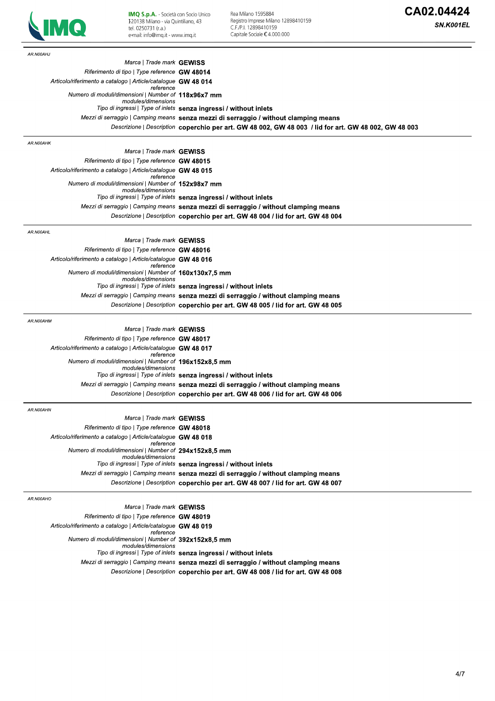

| AR.N00AHJ                                                                    |                                                                                                       |
|------------------------------------------------------------------------------|-------------------------------------------------------------------------------------------------------|
| Marca   Trade mark GEWISS                                                    |                                                                                                       |
| Riferimento di tipo   Type reference GW 48014                                |                                                                                                       |
| Articolo/riferimento a catalogo   Article/catalogue GW 48 014                |                                                                                                       |
| reference<br>Numero di moduli/dimensioni   Number of 118x96x7 mm             |                                                                                                       |
| modules/dimensions                                                           | Tipo di ingressi   Type of inlets senza ingressi / without inlets                                     |
|                                                                              | Mezzi di serraggio   Camping means senza mezzi di serraggio / without clamping means                  |
|                                                                              | Descrizione   Description coperchio per art. GW 48 002, GW 48 003 / lid for art. GW 48 002, GW 48 003 |
|                                                                              |                                                                                                       |
| AR.N00AHK                                                                    |                                                                                                       |
| Marca   Trade mark GEWISS<br>Riferimento di tipo   Type reference GW 48015   |                                                                                                       |
| Articolo/riferimento a catalogo   Article/catalogue GW 48 015                |                                                                                                       |
| reference                                                                    |                                                                                                       |
| Numero di moduli/dimensioni   Number of 152x98x7 mm<br>modules/dimensions    |                                                                                                       |
|                                                                              | Tipo di ingressi   Type of inlets senza ingressi / without inlets                                     |
|                                                                              | Mezzi di serraggio   Camping means senza mezzi di serraggio / without clamping means                  |
|                                                                              | Descrizione   Description coperchio per art. GW 48 004 / lid for art. GW 48 004                       |
| AR.N00AHL                                                                    |                                                                                                       |
| Marca   Trade mark GEWISS                                                    |                                                                                                       |
| Riferimento di tipo   Type reference GW 48016                                |                                                                                                       |
| Articolo/riferimento a catalogo   Article/catalogue GW 48 016                |                                                                                                       |
| reference<br>Numero di moduli/dimensioni   Number of 160x130x7,5 mm          |                                                                                                       |
| modules/dimensions                                                           | Tipo di ingressi   Type of inlets senza ingressi / without inlets                                     |
|                                                                              | Mezzi di serraggio   Camping means senza mezzi di serraggio / without clamping means                  |
|                                                                              | Descrizione   Description coperchio per art. GW 48 005 / lid for art. GW 48 005                       |
|                                                                              |                                                                                                       |
| AR.N00AHM                                                                    |                                                                                                       |
| Marca   Trade mark GEWISS                                                    |                                                                                                       |
| Riferimento di tipo   Type reference GW 48017                                |                                                                                                       |
| Articolo/riferimento a catalogo   Article/catalogue GW 48 017<br>reference   |                                                                                                       |
| Numero di moduli/dimensioni   Number of 196x152x8,5 mm<br>modules/dimensions |                                                                                                       |
|                                                                              | Tipo di ingressi   Type of inlets senza ingressi / without inlets                                     |
|                                                                              | Mezzi di serraggio   Camping means senza mezzi di serraggio / without clamping means                  |
|                                                                              | Descrizione   Description coperchio per art. GW 48 006 / lid for art. GW 48 006                       |
| AR.N00AHN                                                                    |                                                                                                       |
| Marca   Trade mark GEWISS                                                    |                                                                                                       |
| Riferimento di tipo   Type reference <b>GW 48018</b>                         |                                                                                                       |
| Articolo/riferimento a catalogo   Article/catalogue GW 48 018                |                                                                                                       |
| reference<br>Numero di moduli/dimensioni   Number of 294x152x8,5 mm          |                                                                                                       |
| modules/dimensions                                                           |                                                                                                       |
|                                                                              | Tipo di ingressi   Type of inlets senza ingressi / without inlets                                     |
|                                                                              | Mezzi di serraggio   Camping means senza mezzi di serraggio / without clamping means                  |
|                                                                              | Descrizione   Description coperchio per art. GW 48 007 / lid for art. GW 48 007                       |
| AR.N00AHO                                                                    |                                                                                                       |
| Marca   Trade mark GEWISS                                                    |                                                                                                       |
| Riferimento di tipo   Type reference GW 48019                                |                                                                                                       |
| Articolo/riferimento a catalogo   Article/catalogue GW 48 019<br>reference   |                                                                                                       |
| Numero di moduli/dimensioni   Number of 392x152x8,5 mm<br>modules/dimensions |                                                                                                       |
|                                                                              | Tipo di ingressi   Type of inlets senza ingressi / without inlets                                     |
|                                                                              | Mezzi di serraggio   Camping means senza mezzi di serraggio / without clamping means                  |
|                                                                              | Descrizione   Description coperchio per art. GW 48 008 / lid for art. GW 48 008                       |
|                                                                              |                                                                                                       |
|                                                                              |                                                                                                       |
|                                                                              |                                                                                                       |
|                                                                              |                                                                                                       |
|                                                                              |                                                                                                       |
|                                                                              |                                                                                                       |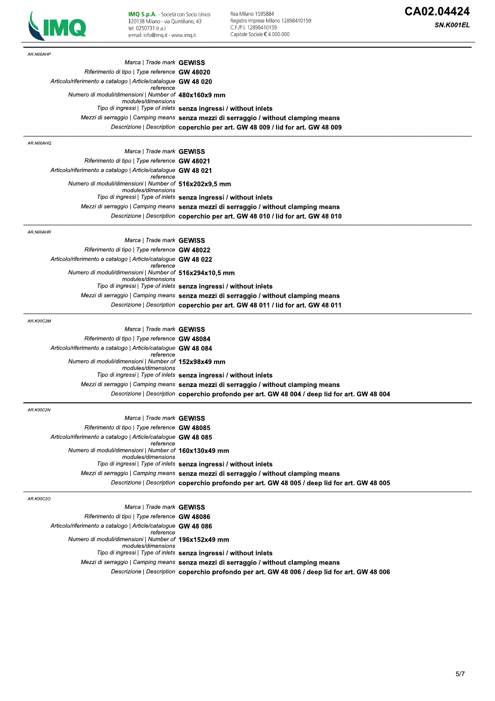

**IMQ S.p.A.** - Società con Socio Unico<br>I20138 Milano - via Quintiliano, 43<br>tel. 0250731 (r.a.)<br>e-mail: info@imq.it - www.imq.it

Rea Milano 1595884<br>Registro Imprese Milano 12898410159<br>C.F.∕P.I. 12898410159<br>Capitale Sociale € 4.000.000

| AR.N00AHP                                                                   |                                                                                                                                                                                       |
|-----------------------------------------------------------------------------|---------------------------------------------------------------------------------------------------------------------------------------------------------------------------------------|
| Marca   Trade mark GEWISS                                                   |                                                                                                                                                                                       |
| Riferimento di tipo   Type reference <b>GW 48020</b>                        |                                                                                                                                                                                       |
| Articolo/riferimento a catalogo   Article/catalogue GW 48 020<br>reference  |                                                                                                                                                                                       |
| Numero di moduli/dimensioni   Number of 480x160x9 mm<br>modules/dimensions  |                                                                                                                                                                                       |
|                                                                             | Tipo di ingressi   Type of inlets senza ingressi / without inlets                                                                                                                     |
|                                                                             | Mezzi di serraggio   Camping means senza mezzi di serraggio / without clamping means                                                                                                  |
|                                                                             | Descrizione   Description coperchio per art. GW 48 009 / lid for art. GW 48 009                                                                                                       |
| AR.N00AHQ                                                                   |                                                                                                                                                                                       |
| Marca   Trade mark GEWISS                                                   |                                                                                                                                                                                       |
| Riferimento di tipo   Type reference GW 48021                               |                                                                                                                                                                                       |
| Articolo/riferimento a catalogo   Article/catalogue GW 48 021<br>reference  |                                                                                                                                                                                       |
| Numero di moduli/dimensioni   Number of 516x202x9,5 mm                      |                                                                                                                                                                                       |
| modules/dimensions                                                          | Tipo di ingressi   Type of inlets senza ingressi / without inlets                                                                                                                     |
|                                                                             | Mezzi di serraggio   Camping means senza mezzi di serraggio / without clamping means                                                                                                  |
|                                                                             | Descrizione   Description coperchio per art. GW 48 010 / lid for art. GW 48 010                                                                                                       |
|                                                                             |                                                                                                                                                                                       |
| AR.N00AHR<br>Marca   Trade mark GEWISS                                      |                                                                                                                                                                                       |
| Riferimento di tipo   Type reference GW 48022                               |                                                                                                                                                                                       |
| Articolo/riferimento a catalogo   Article/catalogue GW 48 022               |                                                                                                                                                                                       |
| reference<br>Numero di moduli/dimensioni   Number of 516x294x10,5 mm        |                                                                                                                                                                                       |
| modules/dimensions                                                          |                                                                                                                                                                                       |
|                                                                             | Tipo di ingressi   Type of inlets senza ingressi / without inlets                                                                                                                     |
|                                                                             | Mezzi di serraggio   Camping means senza mezzi di serraggio / without clamping means                                                                                                  |
|                                                                             | Descrizione   Description coperchio per art. GW 48 011 / lid for art. GW 48 011                                                                                                       |
| AR.K00C2M                                                                   |                                                                                                                                                                                       |
| Marca   Trade mark GEWISS                                                   |                                                                                                                                                                                       |
| Riferimento di tipo   Type reference GW 48084                               |                                                                                                                                                                                       |
| Articolo/riferimento a catalogo   Article/catalogue GW 48 084<br>reference  |                                                                                                                                                                                       |
| Numero di moduli/dimensioni   Number of 152x98x49 mm                        |                                                                                                                                                                                       |
| modules/dimensions                                                          | Tipo di ingressi   Type of inlets senza ingressi / without inlets                                                                                                                     |
|                                                                             | Mezzi di serraggio   Camping means senza mezzi di serraggio / without clamping means                                                                                                  |
|                                                                             | Descrizione   Description coperchio profondo per art. GW 48 004 / deep lid for art. GW 48 004                                                                                         |
|                                                                             |                                                                                                                                                                                       |
| AR.K00C2N<br>Marca   Trade mark GEWISS                                      |                                                                                                                                                                                       |
| Riferimento di tipo   Type reference <b>GW 48085</b>                        |                                                                                                                                                                                       |
| Articolo/riferimento a catalogo   Article/catalogue GW 48 085               |                                                                                                                                                                                       |
| reference<br>Numero di moduli/dimensioni   Number of 160x130x49 mm          |                                                                                                                                                                                       |
| modules/dimensions                                                          |                                                                                                                                                                                       |
|                                                                             | Tipo di ingressi   Type of inlets senza ingressi / without inlets                                                                                                                     |
|                                                                             | Mezzi di serraggio   Camping means senza mezzi di serraggio / without clamping means<br>Descrizione   Description coperchio profondo per art. GW 48 005 / deep lid for art. GW 48 005 |
|                                                                             |                                                                                                                                                                                       |
| AR.K00C2O                                                                   |                                                                                                                                                                                       |
| Marca   Trade mark GEWISS                                                   |                                                                                                                                                                                       |
| Riferimento di tipo   Type reference GW 48086                               |                                                                                                                                                                                       |
| Articolo/riferimento a catalogo   Article/catalogue GW 48 086<br>reference  |                                                                                                                                                                                       |
| Numero di moduli/dimensioni   Number of 196x152x49 mm<br>modules/dimensions |                                                                                                                                                                                       |
|                                                                             | Tipo di ingressi   Type of inlets senza ingressi / without inlets                                                                                                                     |
|                                                                             | Mezzi di serraggio   Camping means senza mezzi di serraggio / without clamping means                                                                                                  |
|                                                                             | Descrizione   Description coperchio profondo per art. GW 48 006 / deep lid for art. GW 48 006                                                                                         |
|                                                                             |                                                                                                                                                                                       |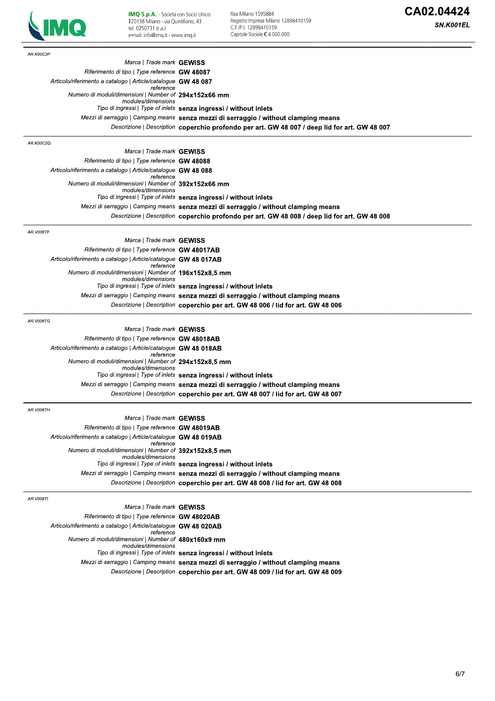

Rea Milano 1595884<br>Registro Imprese Milano 12898410159<br>C.F.∕P.I. 12898410159<br>Capitale Sociale € 4.000.000

| tel. 0250731 (r.a.)<br>e-mail: info@imq.it - www.imq.it                      | C.F./P.I. 12898410159<br>Capitale Sociale €4.000.000                                          | <i><b>JIV.KUU I EL</b></i> |
|------------------------------------------------------------------------------|-----------------------------------------------------------------------------------------------|----------------------------|
| AR.K00C2P                                                                    |                                                                                               |                            |
| Marca   Trade mark GEWISS                                                    |                                                                                               |                            |
| Riferimento di tipo   Type reference GW 48087                                |                                                                                               |                            |
| Articolo/riferimento a catalogo   Article/catalogue GW 48 087<br>reference   |                                                                                               |                            |
| Numero di moduli/dimensioni   Number of 294x152x66 mm                        |                                                                                               |                            |
| modules/dimensions                                                           | Tipo di ingressi   Type of inlets senza ingressi / without inlets                             |                            |
|                                                                              | Mezzi di serraggio   Camping means senza mezzi di serraggio / without clamping means          |                            |
|                                                                              | Descrizione   Description coperchio profondo per art. GW 48 007 / deep lid for art. GW 48 007 |                            |
| AR.K00C2Q                                                                    |                                                                                               |                            |
| Marca   Trade mark GEWISS                                                    |                                                                                               |                            |
| Riferimento di tipo   Type reference GW 48088                                |                                                                                               |                            |
| Articolo/riferimento a catalogo   Article/catalogue GW 48 088                |                                                                                               |                            |
| reference<br>Numero di moduli/dimensioni   Number of 392x152x66 mm           |                                                                                               |                            |
| modules/dimensions                                                           |                                                                                               |                            |
|                                                                              | Tipo di ingressi   Type of inlets senza ingressi / without inlets                             |                            |
|                                                                              | Mezzi di serraggio   Camping means senza mezzi di serraggio / without clamping means          |                            |
|                                                                              | Descrizione   Description coperchio profondo per art. GW 48 008 / deep lid for art. GW 48 008 |                            |
| AR.V008TF                                                                    |                                                                                               |                            |
| Marca   Trade mark GEWISS<br>Riferimento di tipo   Type reference GW 48017AB |                                                                                               |                            |
| Articolo/riferimento a catalogo   Article/catalogue GW 48 017AB              |                                                                                               |                            |
| reference                                                                    |                                                                                               |                            |
| Numero di moduli/dimensioni   Number of 196x152x8,5 mm                       |                                                                                               |                            |
| modules/dimensions                                                           | Tipo di ingressi   Type of inlets senza ingressi / without inlets                             |                            |
|                                                                              | Mezzi di serraggio   Camping means senza mezzi di serraggio / without clamping means          |                            |
|                                                                              | Descrizione   Description coperchio per art. GW 48 006 / lid for art. GW 48 006               |                            |
| AR.V008TG                                                                    |                                                                                               |                            |
| Marca   Trade mark <b>GEWISS</b>                                             |                                                                                               |                            |
| Riferimento di tipo   Type reference GW 48018AB                              |                                                                                               |                            |
| Articolo/riferimento a catalogo   Article/catalogue GW 48 018AB              |                                                                                               |                            |
| reference                                                                    |                                                                                               |                            |
| Numero di moduli/dimensioni   Number of 294x152x8,5 mm<br>modules/dimensions |                                                                                               |                            |
|                                                                              | Tipo di ingressi   Type of inlets senza ingressi / without inlets                             |                            |
|                                                                              | Mezzi di serraggio   Camping means senza mezzi di serraggio / without clamping means          |                            |
|                                                                              | Descrizione   Description coperchio per art. GW 48 007 / lid for art. GW 48 007               |                            |
| AR.V008TH                                                                    |                                                                                               |                            |
| Marca   Trade mark GEWISS                                                    |                                                                                               |                            |
| Riferimento di tipo   Type reference GW 48019AB                              |                                                                                               |                            |
| Articolo/riferimento a catalogo   Article/catalogue GW 48 019AB<br>reference |                                                                                               |                            |
| Numero di moduli/dimensioni   Number of 392x152x8,5 mm<br>modules/dimensions |                                                                                               |                            |
|                                                                              | Tipo di ingressi   Type of inlets senza ingressi / without inlets                             |                            |
|                                                                              | Mezzi di serraggio   Camping means senza mezzi di serraggio / without clamping means          |                            |
|                                                                              | Descrizione   Description coperchio per art. GW 48 008 / lid for art. GW 48 008               |                            |
| AR.V008TI                                                                    |                                                                                               |                            |
| Marca   Trade mark GEWISS                                                    |                                                                                               |                            |
| Riferimento di tipo   Type reference GW 48020AB                              |                                                                                               |                            |
| Articolo/riferimento a catalogo   Article/catalogue GW 48 020AB              |                                                                                               |                            |
| reference<br>Numero di moduli/dimensioni   Number of 480x160x9 mm            |                                                                                               |                            |
| modules/dimensions                                                           |                                                                                               |                            |
|                                                                              | Tipo di ingressi   Type of inlets senza ingressi / without inlets                             |                            |
|                                                                              | Mezzi di serraggio   Camping means senza mezzi di serraggio / without clamping means          |                            |
|                                                                              | Descrizione   Description coperchio per art. GW 48 009 / lid for art. GW 48 009               |                            |
|                                                                              |                                                                                               |                            |
|                                                                              |                                                                                               |                            |